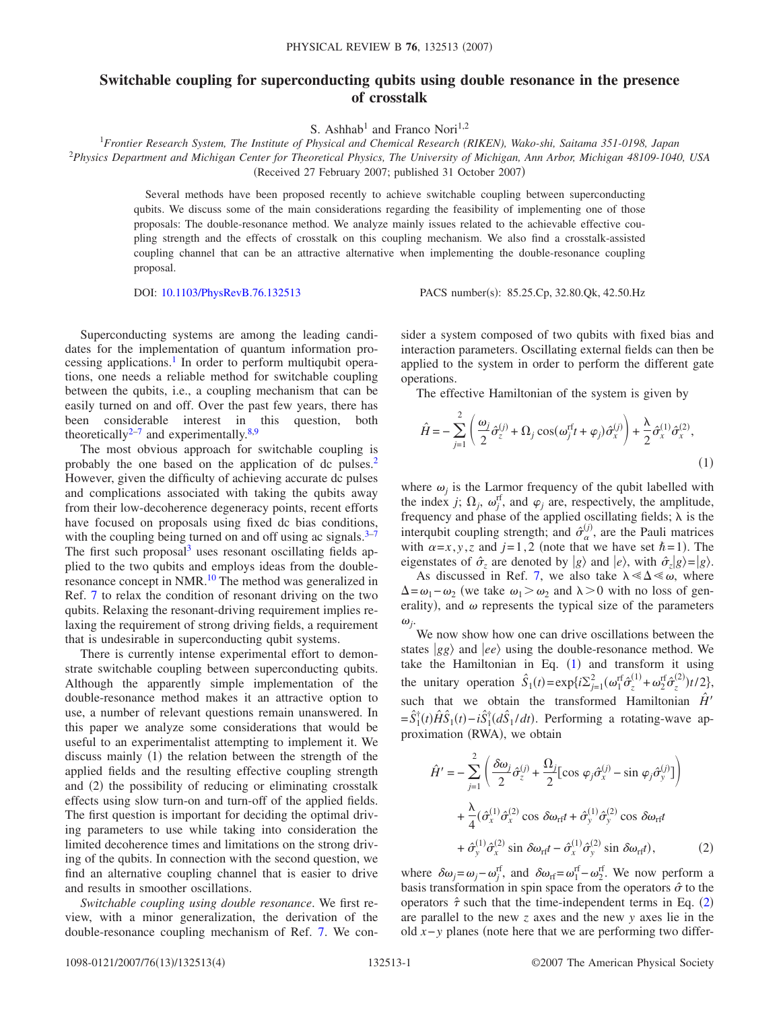## **Switchable coupling for superconducting qubits using double resonance in the presence of crosstalk**

S. Ashhab<sup>1</sup> and Franco Nori<sup>1,2</sup>

<sup>1</sup>*Frontier Research System, The Institute of Physical and Chemical Research (RIKEN), Wako-shi, Saitama 351-0198, Japan* 2 *Physics Department and Michigan Center for Theoretical Physics, The University of Michigan, Ann Arbor, Michigan 48109-1040, USA* (Received 27 February 2007; published 31 October 2007)

Several methods have been proposed recently to achieve switchable coupling between superconducting qubits. We discuss some of the main considerations regarding the feasibility of implementing one of those proposals: The double-resonance method. We analyze mainly issues related to the achievable effective coupling strength and the effects of crosstalk on this coupling mechanism. We also find a crosstalk-assisted coupling channel that can be an attractive alternative when implementing the double-resonance coupling proposal.

DOI: [10.1103/PhysRevB.76.132513](http://dx.doi.org/10.1103/PhysRevB.76.132513)

PACS number(s): 85.25.Cp, 32.80.Qk, 42.50.Hz

Superconducting systems are among the leading candidates for the implementation of quantum information processing applications.<sup>1</sup> In order to perform multiqubit operations, one needs a reliable method for switchable coupling between the qubits, i.e., a coupling mechanism that can be easily turned on and off. Over the past few years, there has been considerable interest in this question, both theoretically<sup>2[–7](#page-3-2)</sup> and experimentally.<sup>8[,9](#page-3-4)</sup>

The most obvious approach for switchable coupling is probably the one based on the application of dc pulses.<sup>2</sup> However, given the difficulty of achieving accurate dc pulses and complications associated with taking the qubits away from their low-decoherence degeneracy points, recent efforts have focused on proposals using fixed dc bias conditions, with the coupling being turned on and off using ac signals. $3-7$  $3-7$ The first such proposal<sup>3</sup> uses resonant oscillating fields applied to the two qubits and employs ideas from the doubleresonance concept in NMR.<sup>10</sup> The method was generalized in Ref. [7](#page-3-2) to relax the condition of resonant driving on the two qubits. Relaxing the resonant-driving requirement implies relaxing the requirement of strong driving fields, a requirement that is undesirable in superconducting qubit systems.

There is currently intense experimental effort to demonstrate switchable coupling between superconducting qubits. Although the apparently simple implementation of the double-resonance method makes it an attractive option to use, a number of relevant questions remain unanswered. In this paper we analyze some considerations that would be useful to an experimentalist attempting to implement it. We discuss mainly (1) the relation between the strength of the applied fields and the resulting effective coupling strength and (2) the possibility of reducing or eliminating crosstalk effects using slow turn-on and turn-off of the applied fields. The first question is important for deciding the optimal driving parameters to use while taking into consideration the limited decoherence times and limitations on the strong driving of the qubits. In connection with the second question, we find an alternative coupling channel that is easier to drive and results in smoother oscillations.

*Switchable coupling using double resonance*. We first review, with a minor generalization, the derivation of the double-resonance coupling mechanism of Ref. [7.](#page-3-2) We consider a system composed of two qubits with fixed bias and interaction parameters. Oscillating external fields can then be applied to the system in order to perform the different gate operations.

The effective Hamiltonian of the system is given by

<span id="page-0-0"></span>
$$
\hat{H} = -\sum_{j=1}^{2} \left( \frac{\omega_j}{2} \hat{\sigma}_z^{(j)} + \Omega_j \cos(\omega_j^{\text{rf}} t + \varphi_j) \hat{\sigma}_x^{(j)} \right) + \frac{\lambda}{2} \hat{\sigma}_x^{(1)} \hat{\sigma}_x^{(2)},\tag{1}
$$

where  $\omega_i$  is the Larmor frequency of the qubit labelled with the index *j*;  $\Omega_j$ ,  $\omega_j^{\text{rf}}$ , and  $\varphi_j$  are, respectively, the amplitude, frequency and phase of the applied oscillating fields;  $\lambda$  is the interqubit coupling strength; and  $\hat{\sigma}_{\alpha}^{(j)}$ , are the Pauli matrices with  $\alpha = x, y, z$  and  $j = 1, 2$  (note that we have set  $\hbar = 1$ ). The eigenstates of  $\hat{\sigma}_z$  are denoted by  $|g\rangle$  and  $|e\rangle$ , with  $\hat{\sigma}_z|g\rangle = |g\rangle$ .

As discussed in Ref. [7,](#page-3-2) we also take  $\lambda \ll \Delta \ll \omega$ , where  $\Delta = \omega_1 - \omega_2$  (we take  $\omega_1 > \omega_2$  and  $\lambda > 0$  with no loss of generality), and  $\omega$  represents the typical size of the parameters  $\omega_j$ .

We now show how one can drive oscillations between the states  $|gg\rangle$  and  $|ee\rangle$  using the double-resonance method. We take the Hamiltonian in Eq.  $(1)$  $(1)$  $(1)$  and transform it using the unitary operation  $\hat{S}_1(t) = \exp\{i\Sigma_{j=1}^2(\omega_1^{\text{rf}}\hat{\sigma}_z^{(1)} + \omega_2^{\text{rf}}\hat{\sigma}_z^{(2)}\}t/2\},$ such that we obtain the transformed Hamiltonian  $\ddot{H}$ <sup>'</sup>  $=\hat{S}_1^{\dagger}(t)\hat{H}\hat{S}_1(t) - i\hat{S}_1^{\dagger}(d\hat{S}_1/dt)$ . Performing a rotating-wave approximation (RWA), we obtain

<span id="page-0-1"></span>
$$
\hat{H}' = -\sum_{j=1}^{2} \left( \frac{\delta \omega_j}{2} \hat{\sigma}_z^{(j)} + \frac{\Omega_j}{2} [\cos \varphi_j \hat{\sigma}_x^{(j)} - \sin \varphi_j \hat{\sigma}_y^{(j)}] \right) \n+ \frac{\lambda}{4} (\hat{\sigma}_x^{(1)} \hat{\sigma}_x^{(2)} \cos \delta \omega_{\text{rf}} t + \hat{\sigma}_y^{(1)} \hat{\sigma}_y^{(2)} \cos \delta \omega_{\text{rf}} t \n+ \hat{\sigma}_y^{(1)} \hat{\sigma}_x^{(2)} \sin \delta \omega_{\text{rf}} t - \hat{\sigma}_x^{(1)} \hat{\sigma}_y^{(2)} \sin \delta \omega_{\text{rf}} t,
$$
\n(2)

where  $\delta \omega_j = \omega_j - \omega_j^{\text{rf}}$ , and  $\delta \omega_{\text{rf}} = \omega_1^{\text{rf}} - \omega_2^{\text{rf}}$ . We now perform a basis transformation in spin space from the operators  $\hat{\sigma}$  to the operators  $\hat{\tau}$  such that the time-independent terms in Eq. ([2](#page-0-1)) are parallel to the new *z* axes and the new *y* axes lie in the old  *planes (note here that we are performing two differ-*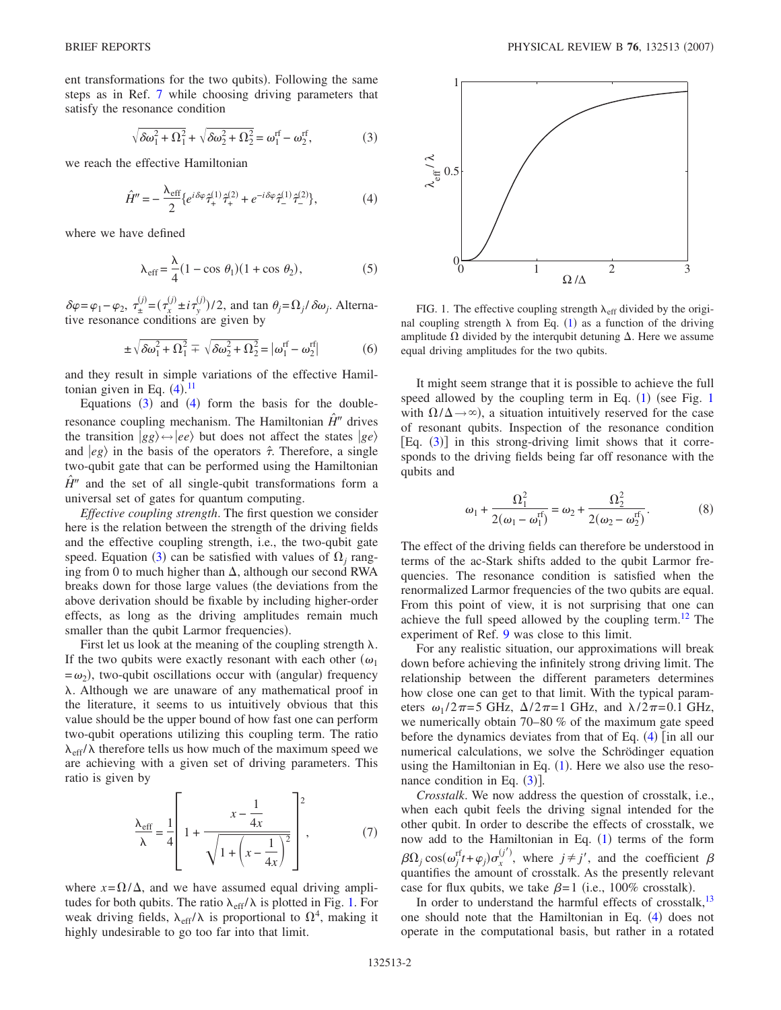ent transformations for the two qubits). Following the same steps as in Ref. [7](#page-3-2) while choosing driving parameters that satisfy the resonance condition

$$
\sqrt{\delta\omega_1^2 + \Omega_1^2} + \sqrt{\delta\omega_2^2 + \Omega_2^2} = \omega_1^{\text{rf}} - \omega_2^{\text{rf}},\tag{3}
$$

<span id="page-1-1"></span><span id="page-1-0"></span>we reach the effective Hamiltonian

$$
\hat{H}'' = -\frac{\lambda_{\rm eff}}{2} \{ e^{i\delta\varphi} \hat{\tau}_+^{(1)} \hat{\tau}_+^{(2)} + e^{-i\delta\varphi} \hat{\tau}_-^{(1)} \hat{\tau}_-^{(2)} \},\tag{4}
$$

where we have defined

$$
\lambda_{\text{eff}} = \frac{\lambda}{4} (1 - \cos \theta_1)(1 + \cos \theta_2), \tag{5}
$$

 $\delta \varphi = \varphi_1 - \varphi_2, \ \tau_{\pm}^{(j)} = (\tau_x^{(j)} \pm i \tau_y^{(j)})/2$ , and tan  $\theta_j = \Omega_j / \delta \omega_j$ . Alternative resonance conditions are given by

$$
\pm \sqrt{\delta \omega_1^2 + \Omega_1^2} = \sqrt{\delta \omega_2^2 + \Omega_2^2} = |\omega_1^{\text{rf}} - \omega_2^{\text{rf}}| \tag{6}
$$

and they result in simple variations of the effective Hamiltonian given in Eq.  $(4)$  $(4)$  $(4)$ .<sup>[11](#page-3-7)</sup>

Equations  $(3)$  $(3)$  $(3)$  and  $(4)$  $(4)$  $(4)$  form the basis for the doubleresonance coupling mechanism. The Hamiltonian  $\hat{H}$ <sup>*n*</sup> drives the transition  $|gg\rangle \leftrightarrow |ee\rangle$  but does not affect the states  $|ge\rangle$ and  $\ket{eg}$  in the basis of the operators  $\hat{\tau}$ . Therefore, a single two-qubit gate that can be performed using the Hamiltonian  $\hat{H}^{\prime\prime}$  and the set of all single-qubit transformations form a universal set of gates for quantum computing.

*Effective coupling strength*. The first question we consider here is the relation between the strength of the driving fields and the effective coupling strength, i.e., the two-qubit gate speed. Equation ([3](#page-1-1)) can be satisfied with values of  $\Omega_j$  ranging from 0 to much higher than  $\Delta$ , although our second RWA breaks down for those large values (the deviations from the above derivation should be fixable by including higher-order effects, as long as the driving amplitudes remain much smaller than the qubit Larmor frequencies).

First let us look at the meaning of the coupling strength  $\lambda$ . If the two qubits were exactly resonant with each other  $(\omega_1)$  $= \omega_2$ ), two-qubit oscillations occur with (angular) frequency . Although we are unaware of any mathematical proof in the literature, it seems to us intuitively obvious that this value should be the upper bound of how fast one can perform two-qubit operations utilizing this coupling term. The ratio  $\lambda_{\text{eff}}/\lambda$  therefore tells us how much of the maximum speed we are achieving with a given set of driving parameters. This ratio is given by

$$
\frac{\lambda_{\text{eff}}}{\lambda} = \frac{1}{4} \left[ 1 + \frac{x - \frac{1}{4x}}{\sqrt{1 + \left(x - \frac{1}{4x}\right)^2}} \right]^2, \tag{7}
$$

where  $x = \Omega/\Delta$ , and we have assumed equal driving amplitudes for both qubits. The ratio  $\lambda_{\text{eff}}/\lambda$  is plotted in Fig. [1.](#page-1-2) For weak driving fields,  $\lambda_{\text{eff}}/\lambda$  is proportional to  $\Omega^4$ , making it highly undesirable to go too far into that limit.

<span id="page-1-2"></span>

FIG. 1. The effective coupling strength  $\lambda_{\text{eff}}$  divided by the original coupling strength  $\lambda$  from Eq. ([1](#page-0-0)) as a function of the driving amplitude  $\Omega$  divided by the interqubit detuning  $\Delta$ . Here we assume equal driving amplitudes for the two qubits.

It might seem strange that it is possible to achieve the full speed allowed by the coupling term in Eq.  $(1)$  $(1)$  $(1)$  (see Fig. 1 with  $\Omega/\Delta \rightarrow \infty$ ), a situation intuitively reserved for the case of resonant qubits. Inspection of the resonance condition  $[Eq. (3)]$  $[Eq. (3)]$  $[Eq. (3)]$  in this strong-driving limit shows that it corresponds to the driving fields being far off resonance with the qubits and

$$
\omega_1 + \frac{\Omega_1^2}{2(\omega_1 - \omega_1^{\text{rf}})} = \omega_2 + \frac{\Omega_2^2}{2(\omega_2 - \omega_2^{\text{rf}})}.
$$
 (8)

The effect of the driving fields can therefore be understood in terms of the ac-Stark shifts added to the qubit Larmor frequencies. The resonance condition is satisfied when the renormalized Larmor frequencies of the two qubits are equal. From this point of view, it is not surprising that one can achieve the full speed allowed by the coupling term.<sup>12</sup> The experiment of Ref. [9](#page-3-4) was close to this limit.

For any realistic situation, our approximations will break down before achieving the infinitely strong driving limit. The relationship between the different parameters determines how close one can get to that limit. With the typical parameters  $\omega_1 / 2\pi = 5$  GHz,  $\Delta / 2\pi = 1$  GHz, and  $\lambda / 2\pi = 0.1$  GHz, we numerically obtain 70–80 % of the maximum gate speed before the dynamics deviates from that of Eq.  $(4)$  $(4)$  $(4)$  [in all our numerical calculations, we solve the Schrödinger equation using the Hamiltonian in Eq.  $(1)$  $(1)$  $(1)$ . Here we also use the resonance condition in Eq.  $(3)$  $(3)$  $(3)$ ].

*Crosstalk*. We now address the question of crosstalk, i.e., when each qubit feels the driving signal intended for the other qubit. In order to describe the effects of crosstalk, we now add to the Hamiltonian in Eq. ([1](#page-0-0)) terms of the form  $\beta \Omega_j \cos(\omega_j^{rf} t + \varphi_j) \sigma_x^{(j')}$ , where  $j \neq j'$ , and the coefficient  $\beta$ quantifies the amount of crosstalk. As the presently relevant case for flux qubits, we take  $\beta = 1$  (i.e., 100% crosstalk).

In order to understand the harmful effects of crosstalk, $13$ one should note that the Hamiltonian in Eq. ([4](#page-1-0)) does not operate in the computational basis, but rather in a rotated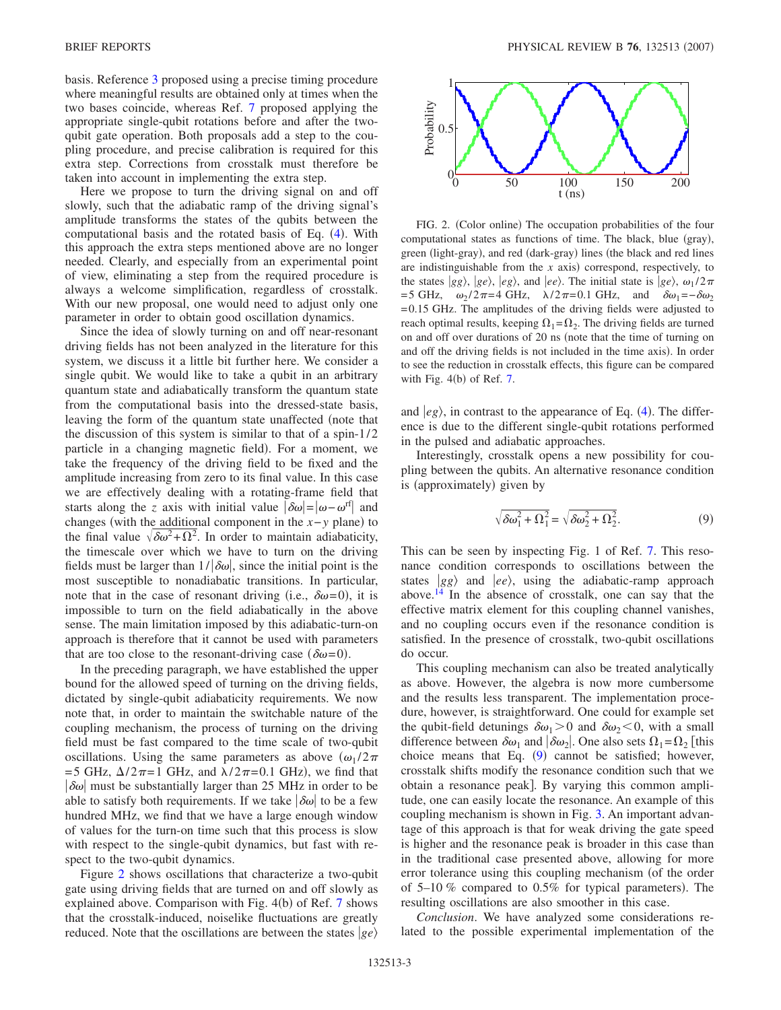basis. Reference [3](#page-3-5) proposed using a precise timing procedure where meaningful results are obtained only at times when the two bases coincide, whereas Ref. [7](#page-3-2) proposed applying the appropriate single-qubit rotations before and after the twoqubit gate operation. Both proposals add a step to the coupling procedure, and precise calibration is required for this extra step. Corrections from crosstalk must therefore be taken into account in implementing the extra step.

Here we propose to turn the driving signal on and off slowly, such that the adiabatic ramp of the driving signal's amplitude transforms the states of the qubits between the computational basis and the rotated basis of Eq.  $(4)$  $(4)$  $(4)$ . With this approach the extra steps mentioned above are no longer needed. Clearly, and especially from an experimental point of view, eliminating a step from the required procedure is always a welcome simplification, regardless of crosstalk. With our new proposal, one would need to adjust only one parameter in order to obtain good oscillation dynamics.

Since the idea of slowly turning on and off near-resonant driving fields has not been analyzed in the literature for this system, we discuss it a little bit further here. We consider a single qubit. We would like to take a qubit in an arbitrary quantum state and adiabatically transform the quantum state from the computational basis into the dressed-state basis, leaving the form of the quantum state unaffected (note that the discussion of this system is similar to that of a spin- $1/2$ particle in a changing magnetic field). For a moment, we take the frequency of the driving field to be fixed and the amplitude increasing from zero to its final value. In this case we are effectively dealing with a rotating-frame field that starts along the *z* axis with initial value  $|\delta \omega| = |\omega - \omega^{rf}|$  and changes (with the additional component in the  $x - y$  plane) to the final value  $\sqrt{\delta \omega^2 + \Omega^2}$ . In order to maintain adiabaticity, the timescale over which we have to turn on the driving fields must be larger than  $1/|\delta\omega|$ , since the initial point is the most susceptible to nonadiabatic transitions. In particular, note that in the case of resonant driving (i.e.,  $\delta \omega = 0$ ), it is impossible to turn on the field adiabatically in the above sense. The main limitation imposed by this adiabatic-turn-on approach is therefore that it cannot be used with parameters that are too close to the resonant-driving case  $(\delta \omega = 0)$ .

In the preceding paragraph, we have established the upper bound for the allowed speed of turning on the driving fields, dictated by single-qubit adiabaticity requirements. We now note that, in order to maintain the switchable nature of the coupling mechanism, the process of turning on the driving field must be fast compared to the time scale of two-qubit oscillations. Using the same parameters as above  $(\omega_1 / 2\pi)$ =5 GHz,  $\Delta/2\pi$ =1 GHz, and  $\lambda/2\pi$ =0.1 GHz), we find that  $|\delta\omega|$  must be substantially larger than 25 MHz in order to be able to satisfy both requirements. If we take  $|\delta\omega|$  to be a few hundred MHz, we find that we have a large enough window of values for the turn-on time such that this process is slow with respect to the single-qubit dynamics, but fast with respect to the two-qubit dynamics.

Figure [2](#page-2-0) shows oscillations that characterize a two-qubit gate using driving fields that are turned on and off slowly as explained above. Comparison with Fig. 4(b) of Ref. [7](#page-3-2) shows that the crosstalk-induced, noiselike fluctuations are greatly reduced. Note that the oscillations are between the states  $|ge\rangle$ 

<span id="page-2-0"></span>

FIG. 2. (Color online) The occupation probabilities of the four computational states as functions of time. The black, blue (gray), green (light-gray), and red (dark-gray) lines (the black and red lines are indistinguishable from the  $x$  axis) correspond, respectively, to the states  $|gg\rangle$ ,  $|ge\rangle$ ,  $|eg\rangle$ , and  $|ee\rangle$ . The initial state is  $|ge\rangle$ ,  $\omega_1/2\pi$ = 5 GHz,  $ω_2 / 2π = 4$  GHz,  $λ / 2π = 0.1$  GHz, and  $δω_1 = -δω_2$ = 0.15 GHz. The amplitudes of the driving fields were adjusted to reach optimal results, keeping  $\Omega_1 = \Omega_2$ . The driving fields are turned on and off over durations of 20 ns (note that the time of turning on and off the driving fields is not included in the time axis). In order to see the reduction in crosstalk effects, this figure can be compared with Fig.  $4(b)$  of Ref. [7.](#page-3-2)

and  $|eg\rangle$ , in contrast to the appearance of Eq. ([4](#page-1-0)). The difference is due to the different single-qubit rotations performed in the pulsed and adiabatic approaches.

Interestingly, crosstalk opens a new possibility for coupling between the qubits. An alternative resonance condition is (approximately) given by

$$
\sqrt{\delta\omega_1^2 + \Omega_1^2} = \sqrt{\delta\omega_2^2 + \Omega_2^2}.
$$
 (9)

<span id="page-2-1"></span>This can be seen by inspecting Fig. 1 of Ref. [7.](#page-3-2) This resonance condition corresponds to oscillations between the states  $|gg\rangle$  and  $|ee\rangle$ , using the adiabatic-ramp approach above.<sup>14</sup> In the absence of crosstalk, one can say that the effective matrix element for this coupling channel vanishes, and no coupling occurs even if the resonance condition is satisfied. In the presence of crosstalk, two-qubit oscillations do occur.

This coupling mechanism can also be treated analytically as above. However, the algebra is now more cumbersome and the results less transparent. The implementation procedure, however, is straightforward. One could for example set the qubit-field detunings  $\delta \omega_1 > 0$  and  $\delta \omega_2 < 0$ , with a small difference between  $\delta \omega_1$  and  $|\delta \omega_2|$ . One also sets  $\Omega_1 = \Omega_2$  [this choice means that Eq.  $(9)$  $(9)$  $(9)$  cannot be satisfied; however, crosstalk shifts modify the resonance condition such that we obtain a resonance peak]. By varying this common amplitude, one can easily locate the resonance. An example of this coupling mechanism is shown in Fig. [3.](#page-3-11) An important advantage of this approach is that for weak driving the gate speed is higher and the resonance peak is broader in this case than in the traditional case presented above, allowing for more error tolerance using this coupling mechanism (of the order of  $5-10\%$  compared to  $0.5\%$  for typical parameters). The resulting oscillations are also smoother in this case.

*Conclusion*. We have analyzed some considerations related to the possible experimental implementation of the